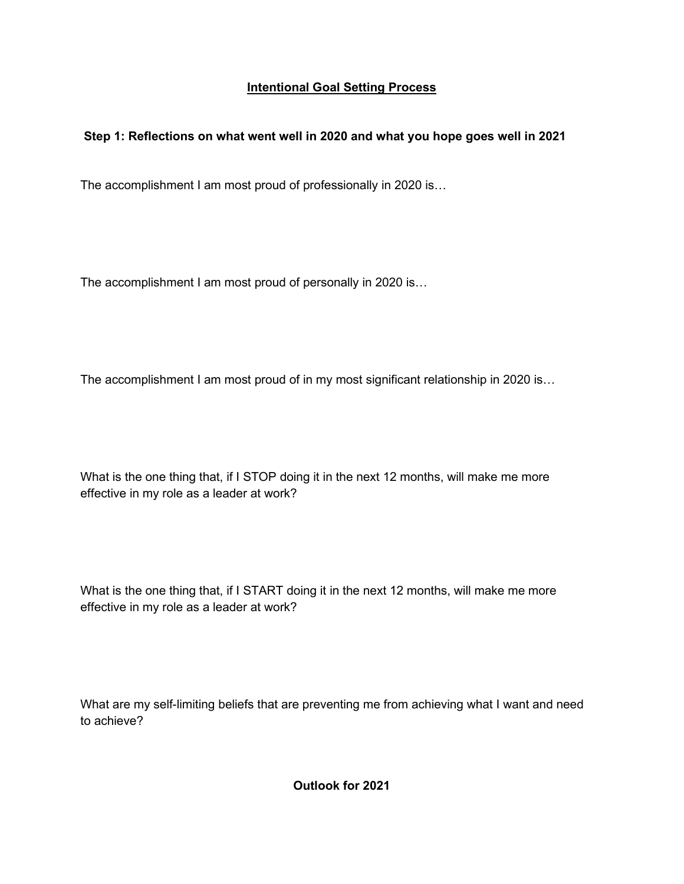## **Intentional Goal Setting Process**

## **Step 1: Reflections on what went well in 2020 and what you hope goes well in 2021**

The accomplishment I am most proud of professionally in 2020 is…

The accomplishment I am most proud of personally in 2020 is…

The accomplishment I am most proud of in my most significant relationship in 2020 is...

What is the one thing that, if I STOP doing it in the next 12 months, will make me more effective in my role as a leader at work?

What is the one thing that, if I START doing it in the next 12 months, will make me more effective in my role as a leader at work?

What are my self-limiting beliefs that are preventing me from achieving what I want and need to achieve?

**Outlook for 2021**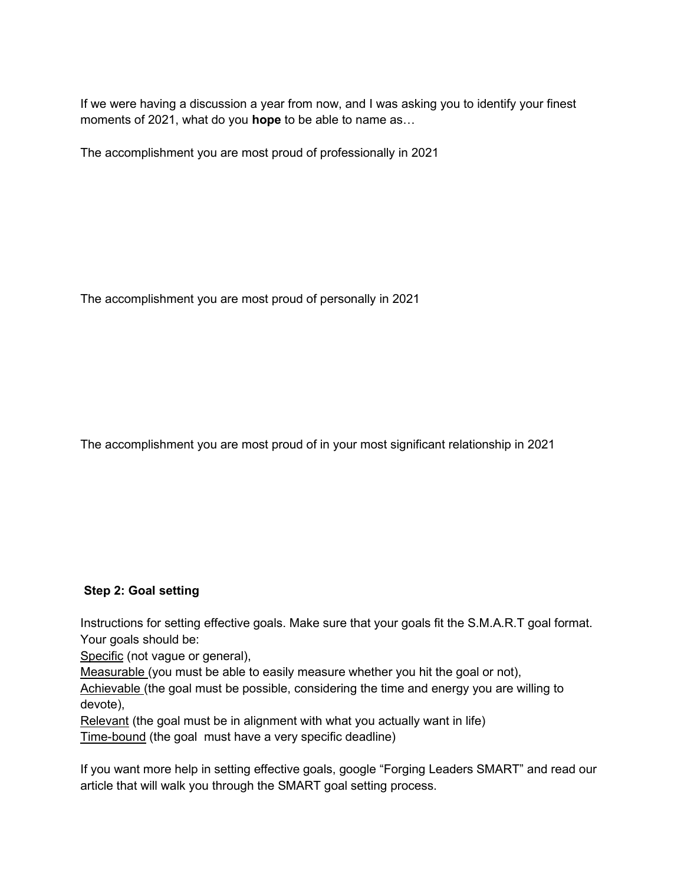If we were having a discussion a year from now, and I was asking you to identify your finest moments of 2021, what do you **hope** to be able to name as…

The accomplishment you are most proud of professionally in 2021

The accomplishment you are most proud of personally in 2021

The accomplishment you are most proud of in your most significant relationship in 2021

## **Step 2: Goal setting**

Instructions for setting effective goals. Make sure that your goals fit the S.M.A.R.T goal format. Your goals should be:

Specific (not vague or general),

Measurable (you must be able to easily measure whether you hit the goal or not),

Achievable (the goal must be possible, considering the time and energy you are willing to devote),

Relevant (the goal must be in alignment with what you actually want in life)

Time-bound (the goal must have a very specific deadline)

If you want more help in setting effective goals, google "Forging Leaders SMART" and read our article that will walk you through the SMART goal setting process.